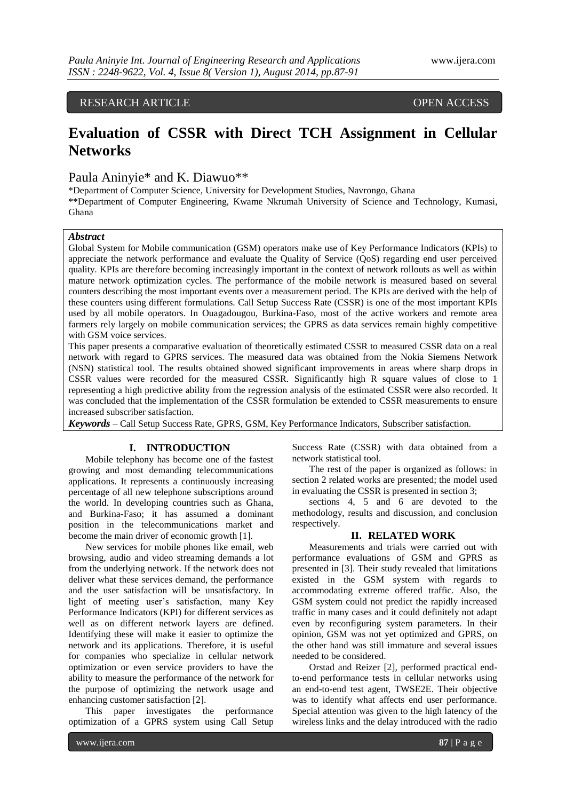## RESEARCH ARTICLE OPEN ACCESS

# **Evaluation of CSSR with Direct TCH Assignment in Cellular Networks**

## Paula Aninyie\* and K. Diawuo\*\*

\*Department of Computer Science, University for Development Studies, Navrongo, Ghana \*\*Department of Computer Engineering, Kwame Nkrumah University of Science and Technology, Kumasi, Ghana

#### *Abstract*

Global System for Mobile communication (GSM) operators make use of Key Performance Indicators (KPIs) to appreciate the network performance and evaluate the Quality of Service (QoS) regarding end user perceived quality. KPIs are therefore becoming increasingly important in the context of network rollouts as well as within mature network optimization cycles. The performance of the mobile network is measured based on several counters describing the most important events over a measurement period. The KPIs are derived with the help of these counters using different formulations. Call Setup Success Rate (CSSR) is one of the most important KPIs used by all mobile operators. In Ouagadougou, Burkina-Faso, most of the active workers and remote area farmers rely largely on mobile communication services; the GPRS as data services remain highly competitive with GSM voice services.

This paper presents a comparative evaluation of theoretically estimated CSSR to measured CSSR data on a real network with regard to GPRS services. The measured data was obtained from the Nokia Siemens Network (NSN) statistical tool. The results obtained showed significant improvements in areas where sharp drops in CSSR values were recorded for the measured CSSR. Significantly high R square values of close to 1 representing a high predictive ability from the regression analysis of the estimated CSSR were also recorded. It was concluded that the implementation of the CSSR formulation be extended to CSSR measurements to ensure increased subscriber satisfaction.

*Keywords* – Call Setup Success Rate, GPRS, GSM, Key Performance Indicators, Subscriber satisfaction.

#### **I. INTRODUCTION**

Mobile telephony has become one of the fastest growing and most demanding telecommunications applications. It represents a continuously increasing percentage of all new telephone subscriptions around the world. In developing countries such as Ghana, and Burkina-Faso; it has assumed a dominant position in the telecommunications market and become the main driver of economic growth [1].

New services for mobile phones like email, web browsing, audio and video streaming demands a lot from the underlying network. If the network does not deliver what these services demand, the performance and the user satisfaction will be unsatisfactory. In light of meeting user's satisfaction, many Key Performance Indicators (KPI) for different services as well as on different network layers are defined. Identifying these will make it easier to optimize the network and its applications. Therefore, it is useful for companies who specialize in cellular network optimization or even service providers to have the ability to measure the performance of the network for the purpose of optimizing the network usage and enhancing customer satisfaction [2].

This paper investigates the performance optimization of a GPRS system using Call Setup Success Rate (CSSR) with data obtained from a network statistical tool.

The rest of the paper is organized as follows: in section 2 related works are presented; the model used in evaluating the CSSR is presented in section 3;

sections 4, 5 and 6 are devoted to the methodology, results and discussion, and conclusion respectively.

#### **II. RELATED WORK**

Measurements and trials were carried out with performance evaluations of GSM and GPRS as presented in [3]. Their study revealed that limitations existed in the GSM system with regards to accommodating extreme offered traffic. Also, the GSM system could not predict the rapidly increased traffic in many cases and it could definitely not adapt even by reconfiguring system parameters. In their opinion, GSM was not yet optimized and GPRS, on the other hand was still immature and several issues needed to be considered.

Orstad and Reizer [2], performed practical endto-end performance tests in cellular networks using an end-to-end test agent, TWSE2E. Their objective was to identify what affects end user performance. Special attention was given to the high latency of the wireless links and the delay introduced with the radio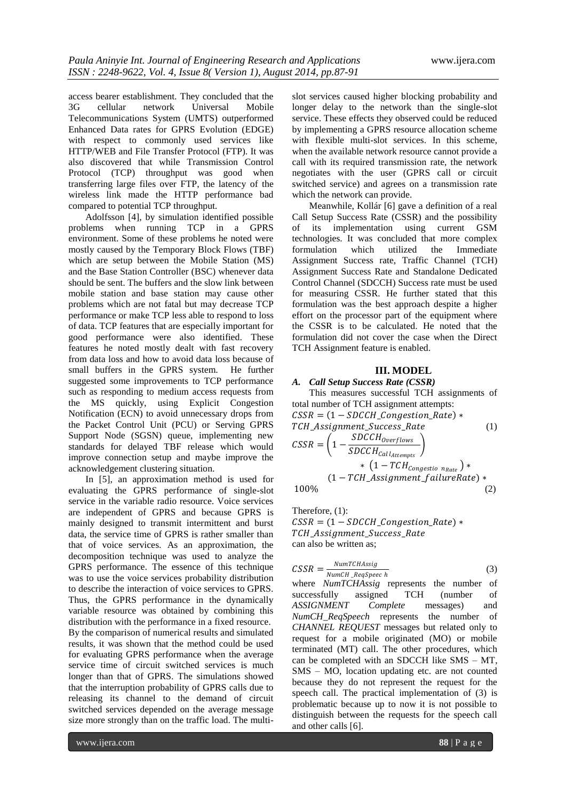access bearer establishment. They concluded that the 3G cellular network Universal Mobile Telecommunications System (UMTS) outperformed Enhanced Data rates for GPRS Evolution (EDGE) with respect to commonly used services like HTTP/WEB and File Transfer Protocol (FTP). It was also discovered that while Transmission Control Protocol (TCP) throughput was good when transferring large files over FTP, the latency of the wireless link made the HTTP performance bad compared to potential TCP throughput.

Adolfsson [4], by simulation identified possible problems when running TCP in a GPRS environment. Some of these problems he noted were mostly caused by the Temporary Block Flows (TBF) which are setup between the Mobile Station (MS) and the Base Station Controller (BSC) whenever data should be sent. The buffers and the slow link between mobile station and base station may cause other problems which are not fatal but may decrease TCP performance or make TCP less able to respond to loss of data. TCP features that are especially important for good performance were also identified. These features he noted mostly dealt with fast recovery from data loss and how to avoid data loss because of small buffers in the GPRS system. He further suggested some improvements to TCP performance such as responding to medium access requests from the MS quickly, using Explicit Congestion Notification (ECN) to avoid unnecessary drops from the Packet Control Unit (PCU) or Serving GPRS Support Node (SGSN) queue, implementing new standards for delayed TBF release which would improve connection setup and maybe improve the acknowledgement clustering situation.

In [5], an approximation method is used for evaluating the GPRS performance of single-slot service in the variable radio resource. Voice services are independent of GPRS and because GPRS is mainly designed to transmit intermittent and burst data, the service time of GPRS is rather smaller than that of voice services. As an approximation, the decomposition technique was used to analyze the GPRS performance. The essence of this technique was to use the voice services probability distribution to describe the interaction of voice services to GPRS. Thus, the GPRS performance in the dynamically variable resource was obtained by combining this distribution with the performance in a fixed resource. By the comparison of numerical results and simulated results, it was shown that the method could be used for evaluating GPRS performance when the average service time of circuit switched services is much longer than that of GPRS. The simulations showed that the interruption probability of GPRS calls due to releasing its channel to the demand of circuit switched services depended on the average message size more strongly than on the traffic load. The multi-

slot services caused higher blocking probability and longer delay to the network than the single-slot service. These effects they observed could be reduced by implementing a GPRS resource allocation scheme with flexible multi-slot services. In this scheme, when the available network resource cannot provide a call with its required transmission rate, the network negotiates with the user (GPRS call or circuit switched service) and agrees on a transmission rate which the network can provide.

Meanwhile, Kollár [6] gave a definition of a real Call Setup Success Rate (CSSR) and the possibility of its implementation using current GSM technologies. It was concluded that more complex formulation which utilized the Immediate Assignment Success rate, Traffic Channel (TCH) Assignment Success Rate and Standalone Dedicated Control Channel (SDCCH) Success rate must be used for measuring CSSR. He further stated that this formulation was the best approach despite a higher effort on the processor part of the equipment where the CSSR is to be calculated. He noted that the formulation did not cover the case when the Direct TCH Assignment feature is enabled.

### **III. MODEL**

A. Call Setup Success Rate (CSSR)  
\nThis measures successful TCH assignments of  
\ntotal number of TCH assignment attempts:  
\nCSSR = (1 - SDCCH\_Congestion\_Rate) \*  
\nTCH\_Assignment\_Success\_Rate (1)  
\nCSSR = 
$$
\left(1 - \frac{SDCCH_{Overflows}}{SDCCH_{Call_{\text{lattempts}}}}\right) * (1 - TCH_{Congestio n_{Rate}}) * (1 - TCH_Assignment_failureRate) * (2)
$$

Therefore, (1):  $CSSR = (1 - SDCCH\_Congestion\_Rate) *$ TCH\_Assignment\_Success\_Rate can also be written as;

$$
CSSR = \frac{NumTCHASSig}{NumCH\_RegSpec\ h}
$$
 (3)

where *NumTCHAssig* represents the number of successfully assigned TCH (number of *ASSIGNMENT Complete* messages) and *NumCH\_ReqSpeech* represents the number of *CHANNEL REQUEST* messages but related only to request for a mobile originated (MO) or mobile terminated (MT) call. The other procedures, which can be completed with an SDCCH like SMS – MT, SMS – MO, location updating etc. are not counted because they do not represent the request for the speech call. The practical implementation of (3) is problematic because up to now it is not possible to distinguish between the requests for the speech call and other calls [6].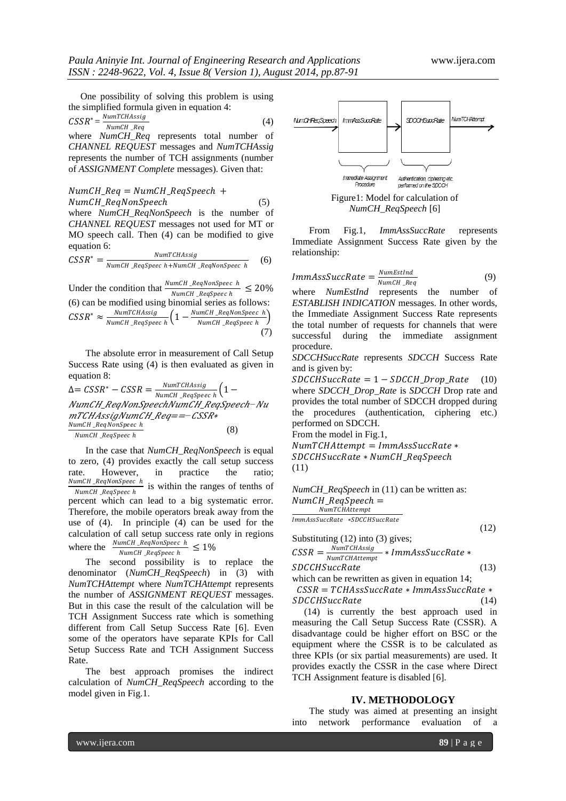One possibility of solving this problem is using the simplified formula given in equation 4:

$$
CSSR^* = \frac{NumTCHAssign}{NumCH\,\,} \tag{4}
$$

where *NumCH* Req represents total number of *CHANNEL REQUEST* messages and *NumTCHAssig*  represents the number of TCH assignments (number of *ASSIGNMENT Complete* messages). Given that:

 $NumCH\_Req = NumCH\_RegSpech +$ NumCH\_ReqNonSpeech (5) where *NumCH\_ReqNonSpeech* is the number of *CHANNEL REQUEST* messages not used for MT or MO speech call. Then (4) can be modified to give equation 6:

$$
CSSR^* = \frac{NumTCHAssign}{NumCH\_RegSpec\ h + NumCH\_RegNonSpec\ h} \tag{6}
$$

Under the condition that  $\frac{NumCH\_ReqNonSpec h}{NumCH\_RegSpec h} \leq 20\%$ (6) can be modified using binomial series as follows:  $\text{CSSR}^* \approx \frac{NumTCHAssign}{N G M R G}$ NumCH\_ReqSpeec h  $\left(1-\frac{NumCH\_ReqNonSpec h}{N\_GU\_P\_G} \right)$ NumCH\_ReqSpeec h (7)

The absolute error in measurement of Call Setup Success Rate using (4) is then evaluated as given in equation 8:

$$
\Delta = CSSR^* - CSSR = \frac{NumTCHAssign}{NumCH\_RegSpec} \left( 1 - \frac{NumCH\_RegSpec}{NumCH\_RegSpec} \right)
$$
\n
$$
MTCHAssign\_NumCH\_Reg == - CSSR* \frac{NumCH\_RegNonSpec \, h}{NumCH\_RegSpec \, h} \tag{8}
$$

In the case that *NumCH\_ReqNonSpeech* is equal to zero, (4) provides exactly the call setup success rate. However, in practice the ratio;<br> $NumCH\_RegNonSpec h$  $\frac{m_{\text{C}}}{m_{\text{C}}}\frac{m_{\text{C}}}{m_{\text{C}}}\frac{m_{\text{C}}}{m_{\text{C}}}\frac{m_{\text{C}}}{m_{\text{C}}}\frac{n_{\text{C}}}{m_{\text{C}}}\frac{n_{\text{C}}}{m_{\text{C}}}\frac{n_{\text{C}}}{m_{\text{C}}}\frac{n_{\text{C}}}{m_{\text{C}}}\frac{n_{\text{C}}}{m_{\text{C}}}\frac{n_{\text{C}}}{m_{\text{C}}}\frac{n_{\text{C}}}{m_{\text{C}}}\frac{n_{\text{C}}}{m_{\text{C}}}\frac{n_{\text{C}}}{m_{$ percent which can lead to a big systematic error. Therefore, the mobile operators break away from the use of (4). In principle (4) can be used for the calculation of call setup success rate only in regions where the  $\frac{Number}{N}$   $\frac{EqNonSpec \ h}{S} \leq 1\%$ 

NumCH\_ReqSpeec h The second possibility is to replace the denominator (*NumCH\_ReqSpeech*) in (3) with *NumTCHAttempt* where *NumTCHAttempt* represents the number of *ASSIGNMENT REQUEST* messages. But in this case the result of the calculation will be TCH Assignment Success rate which is something different from Call Setup Success Rate [6]. Even some of the operators have separate KPIs for Call

The best approach promises the indirect calculation of *NumCH\_ReqSpeech* according to the model given in Fig.1.

Setup Success Rate and TCH Assignment Success



Figure1: Model for calculation of *NumCH\_ReqSpeech* [6]

From Fig.1, *ImmAssSuccRate* represents Immediate Assignment Success Rate given by the relationship:

$$
ImmAssSuccRate = \frac{Number_{sumEstInd}}{NumCH\_Reg}
$$
 (9)

where *NumEstInd* represents the number of *ESTABLISH INDICATION* messages. In other words, the Immediate Assignment Success Rate represents the total number of requests for channels that were successful during the immediate assignment procedure.

*SDCCHSuccRate* represents *SDCCH* Success Rate and is given by:

 $SDCCHSuccRate = 1-SDCCH\_Drop\_Rate$  (10) where *SDCCH\_Drop\_Rate* is *SDCCH* Drop rate and provides the total number of SDCCH dropped during the procedures (authentication, ciphering etc.) performed on SDCCH.

From the model in Fig.1,

 $NumTCHAttempt = ImmassSuccRate *$  $SDCCHSuccRate * NumCH$  ReaSpeech (11)

*NumCH\_ReqSpeech* in (11) can be written as:  $NumCH\_RegSpech =$ NumTCHAttempt

*ImmAssSuccRate \*SDCCHSuccRate* 

Substituting (12) into (3) gives;

$$
CSSR = \frac{NumTCHAssign}{NumTCHAttempt} * ImmassSuccRate * SDCCHSuccRate
$$
 (13)

which can be rewritten as given in equation 14;  $CSSR = TCHAssSuccRate * ImmAssSuccRate *$ 

SDCCHSuccRate (14) (14) is currently the best approach used in measuring the Call Setup Success Rate (CSSR). A

disadvantage could be higher effort on BSC or the equipment where the CSSR is to be calculated as three KPIs (or six partial measurements) are used. It provides exactly the CSSR in the case where Direct TCH Assignment feature is disabled [6].

#### **IV. METHODOLOGY**

The study was aimed at presenting an insight into network performance evaluation of a

Rate.

(12)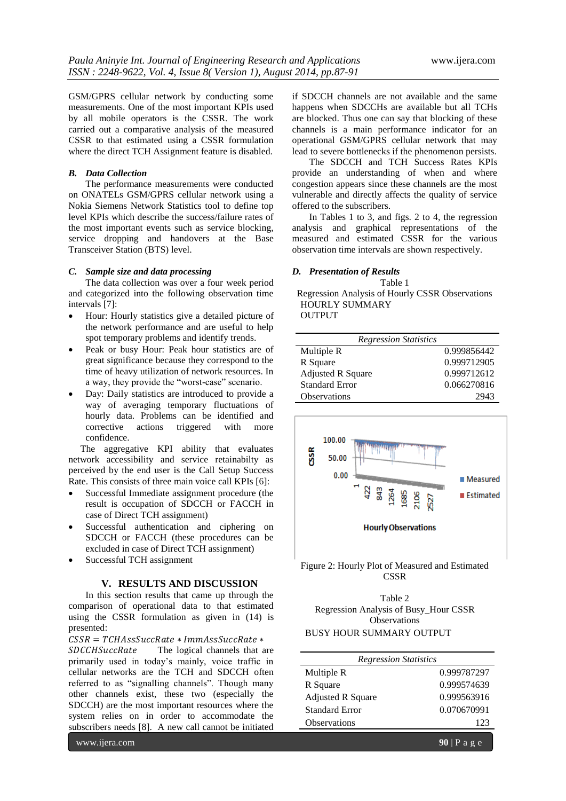GSM/GPRS cellular network by conducting some measurements. One of the most important KPIs used by all mobile operators is the CSSR. The work carried out a comparative analysis of the measured CSSR to that estimated using a CSSR formulation where the direct TCH Assignment feature is disabled.

#### *B. Data Collection*

The performance measurements were conducted on ONATELs GSM/GPRS cellular network using a Nokia Siemens Network Statistics tool to define top level KPIs which describe the success/failure rates of the most important events such as service blocking, service dropping and handovers at the Base Transceiver Station (BTS) level.

#### *C. Sample size and data processing*

The data collection was over a four week period and categorized into the following observation time intervals [7]:

- Hour: Hourly statistics give a detailed picture of the network performance and are useful to help spot temporary problems and identify trends.
- Peak or busy Hour: Peak hour statistics are of great significance because they correspond to the time of heavy utilization of network resources. In a way, they provide the "worst-case" scenario.
- Day: Daily statistics are introduced to provide a way of averaging temporary fluctuations of hourly data. Problems can be identified and corrective actions triggered with more confidence.

 The aggregative KPI ability that evaluates network accessibility and service retainabilty as perceived by the end user is the Call Setup Success Rate. This consists of three main voice call KPIs [6]:

- Successful Immediate assignment procedure (the result is occupation of SDCCH or FACCH in case of Direct TCH assignment)
- Successful authentication and ciphering on SDCCH or FACCH (these procedures can be excluded in case of Direct TCH assignment)
- Successful TCH assignment

#### **V. RESULTS AND DISCUSSION**

In this section results that came up through the comparison of operational data to that estimated using the CSSR formulation as given in (14) is presented:

 $CSSR = TCHAssSuccRate * ImmassSuccRate *$ 

SDCCHSuccRate The logical channels that are primarily used in today's mainly, voice traffic in cellular networks are the TCH and SDCCH often referred to as "signalling channels". Though many other channels exist, these two (especially the SDCCH) are the most important resources where the system relies on in order to accommodate the subscribers needs [8]. A new call cannot be initiated

www.ijera.com **90** | P a g e

if SDCCH channels are not available and the same happens when SDCCHs are available but all TCHs are blocked. Thus one can say that blocking of these channels is a main performance indicator for an operational GSM/GPRS cellular network that may lead to severe bottlenecks if the phenomenon persists.

The SDCCH and TCH Success Rates KPIs provide an understanding of when and where congestion appears since these channels are the most vulnerable and directly affects the quality of service offered to the subscribers.

In Tables 1 to 3, and figs. 2 to 4, the regression analysis and graphical representations of the measured and estimated CSSR for the various observation time intervals are shown respectively.

#### *D. Presentation of Results*

Table 1 Regression Analysis of Hourly CSSR Observations HOURLY SUMMARY OUTPUT

| <b>Regression Statistics</b> |             |  |
|------------------------------|-------------|--|
| Multiple R                   | 0.999856442 |  |
| R Square                     | 0.999712905 |  |
| <b>Adjusted R Square</b>     | 0.999712612 |  |
| <b>Standard Error</b>        | 0.066270816 |  |
| <b>Observations</b>          | 2943        |  |



Figure 2: Hourly Plot of Measured and Estimated **CSSR** 

Table 2 Regression Analysis of Busy\_Hour CSSR **Observations** BUSY HOUR SUMMARY OUTPUT

| <b>Regression Statistics</b> |             |  |
|------------------------------|-------------|--|
| Multiple R                   | 0.999787297 |  |
| R Square                     | 0.999574639 |  |
| <b>Adjusted R Square</b>     | 0.999563916 |  |
| Standard Error               | 0.070670991 |  |
| Observations                 | 123         |  |
|                              |             |  |